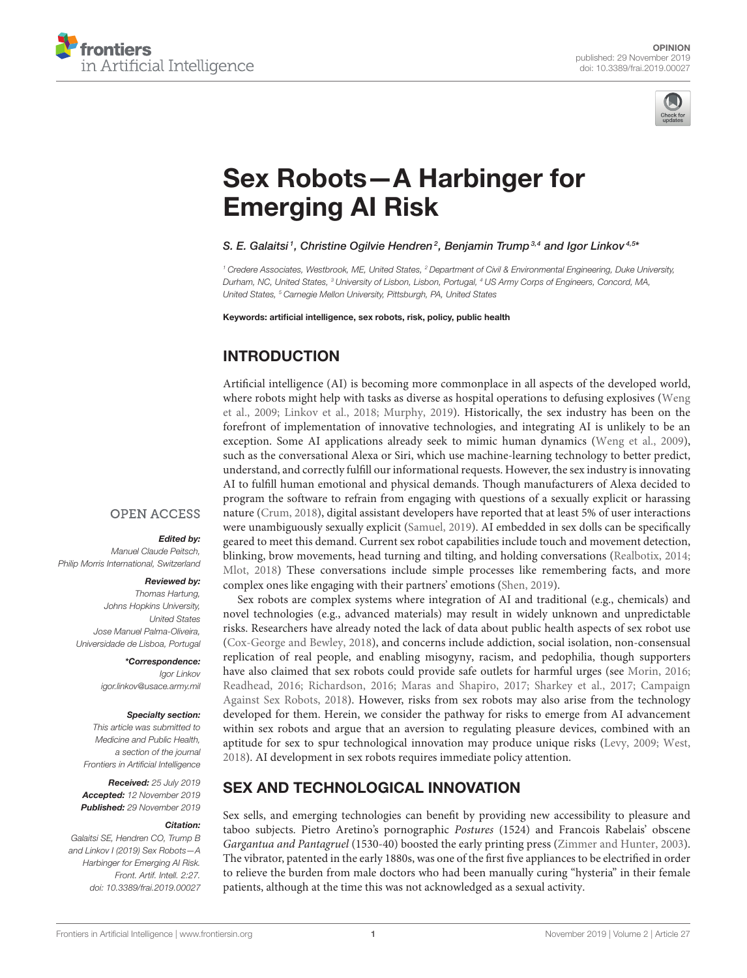



# [Sex Robots—A Harbinger for](https://www.frontiersin.org/articles/10.3389/frai.2019.00027/full) Emerging AI Risk

#### [S. E. Galaitsi](http://loop.frontiersin.org/people/777640/overview)<sup>1</sup>, Christine Ogilvie Hendren<sup>2</sup>, [Benjamin Trump](http://loop.frontiersin.org/people/569627/overview)<sup>3,4</sup> and [Igor Linkov](http://loop.frontiersin.org/people/544762/overview)<sup>4,5</sup>\*

*<sup>1</sup> Credere Associates, Westbrook, ME, United States, <sup>2</sup> Department of Civil & Environmental Engineering, Duke University, Durham, NC, United States, <sup>3</sup> University of Lisbon, Lisbon, Portugal, <sup>4</sup> US Army Corps of Engineers, Concord, MA, United States, <sup>5</sup> Carnegie Mellon University, Pittsburgh, PA, United States*

Keywords: artificial intelligence, sex robots, risk, policy, public health

# INTRODUCTION

Artificial intelligence (AI) is becoming more commonplace in all aspects of the developed world, where robots might help with tasks as diverse as hospital operations to defusing explosives (Weng et al., [2009;](#page-3-0) [Linkov et al., 2018;](#page-2-0) [Murphy, 2019\)](#page-2-1). Historically, the sex industry has been on the forefront of implementation of innovative technologies, and integrating AI is unlikely to be an exception. Some AI applications already seek to mimic human dynamics [\(Weng et al., 2009\)](#page-3-0), such as the conversational Alexa or Siri, which use machine-learning technology to better predict, understand, and correctly fulfill our informational requests. However, the sex industry is innovating AI to fulfill human emotional and physical demands. Though manufacturers of Alexa decided to program the software to refrain from engaging with questions of a sexually explicit or harassing nature [\(Crum, 2018\)](#page-2-2), digital assistant developers have reported that at least 5% of user interactions were unambiguously sexually explicit [\(Samuel, 2019\)](#page-3-1). AI embedded in sex dolls can be specifically geared to meet this demand. Current sex robot capabilities include touch and movement detection, blinking, brow movements, head turning and tilting, and holding conversations [\(Realbotix, 2014;](#page-3-2) [Mlot, 2018\)](#page-2-3) These conversations include simple processes like remembering facts, and more complex ones like engaging with their partners' emotions [\(Shen, 2019\)](#page-3-3).

Sex robots are complex systems where integration of AI and traditional (e.g., chemicals) and novel technologies (e.g., advanced materials) may result in widely unknown and unpredictable risks. Researchers have already noted the lack of data about public health aspects of sex robot use [\(Cox-George and Bewley, 2018\)](#page-2-4), and concerns include addiction, social isolation, non-consensual replication of real people, and enabling misogyny, racism, and pedophilia, though supporters have also claimed that sex robots could provide safe outlets for harmful urges (see [Morin, 2016;](#page-2-5) [Readhead, 2016;](#page-2-6) [Richardson, 2016;](#page-3-4) [Maras and Shapiro, 2017;](#page-2-7) [Sharkey et al., 2017;](#page-3-5) Campaign Against Sex Robots, [2018\)](#page-2-8). However, risks from sex robots may also arise from the technology developed for them. Herein, we consider the pathway for risks to emerge from AI advancement within sex robots and argue that an aversion to regulating pleasure devices, combined with an aptitude for sex to spur technological innovation may produce unique risks [\(Levy, 2009;](#page-2-9) [West,](#page-3-6) [2018\)](#page-3-6). AI development in sex robots requires immediate policy attention.

# SEX AND TECHNOLOGICAL INNOVATION

Sex sells, and emerging technologies can benefit by providing new accessibility to pleasure and taboo subjects. Pietro Aretino's pornographic Postures (1524) and Francois Rabelais' obscene Gargantua and Pantagruel (1530-40) boosted the early printing press [\(Zimmer and Hunter, 2003\)](#page-3-7). The vibrator, patented in the early 1880s, was one of the first five appliances to be electrified in order to relieve the burden from male doctors who had been manually curing "hysteria" in their female patients, although at the time this was not acknowledged as a sexual activity.

## **OPEN ACCESS**

## Edited by:

*Manuel Claude Peitsch, Philip Morris International, Switzerland*

#### Reviewed by:

*Thomas Hartung, Johns Hopkins University, United States Jose Manuel Palma-Oliveira, Universidade de Lisboa, Portugal*

> \*Correspondence: *Igor Linkov [igor.linkov@usace.army.mil](mailto:igor.linkov@usace.army.mil)*

#### Specialty section:

*This article was submitted to Medicine and Public Health, a section of the journal Frontiers in Artificial Intelligence*

Received: *25 July 2019* Accepted: *12 November 2019* Published: *29 November 2019*

#### Citation:

*Galaitsi SE, Hendren CO, Trump B and Linkov I (2019) Sex Robots—A Harbinger for Emerging AI Risk. Front. Artif. Intell. 2:27. doi: [10.3389/frai.2019.00027](https://doi.org/10.3389/frai.2019.00027)*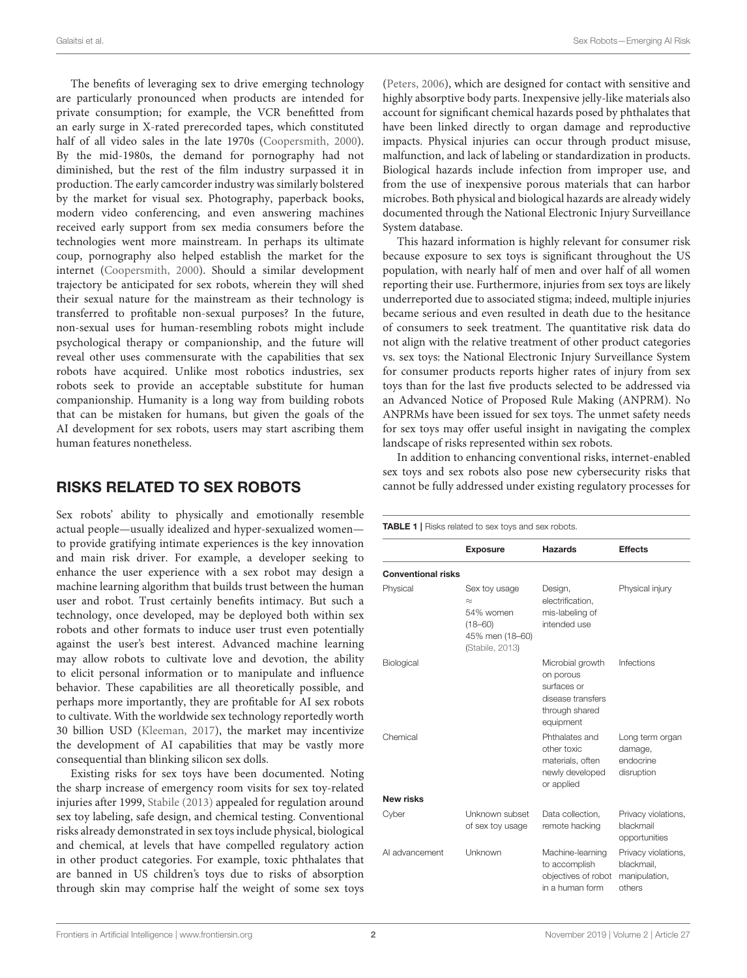The benefits of leveraging sex to drive emerging technology are particularly pronounced when products are intended for private consumption; for example, the VCR benefitted from an early surge in X-rated prerecorded tapes, which constituted half of all video sales in the late 1970s [\(Coopersmith, 2000\)](#page-2-10). By the mid-1980s, the demand for pornography had not diminished, but the rest of the film industry surpassed it in production. The early camcorder industry was similarly bolstered by the market for visual sex. Photography, paperback books, modern video conferencing, and even answering machines received early support from sex media consumers before the technologies went more mainstream. In perhaps its ultimate coup, pornography also helped establish the market for the internet [\(Coopersmith, 2000\)](#page-2-10). Should a similar development trajectory be anticipated for sex robots, wherein they will shed their sexual nature for the mainstream as their technology is transferred to profitable non-sexual purposes? In the future, non-sexual uses for human-resembling robots might include psychological therapy or companionship, and the future will reveal other uses commensurate with the capabilities that sex robots have acquired. Unlike most robotics industries, sex robots seek to provide an acceptable substitute for human companionship. Humanity is a long way from building robots that can be mistaken for humans, but given the goals of the AI development for sex robots, users may start ascribing them human features nonetheless.

# RISKS RELATED TO SEX ROBOTS

Sex robots' ability to physically and emotionally resemble actual people—usually idealized and hyper-sexualized women to provide gratifying intimate experiences is the key innovation and main risk driver. For example, a developer seeking to enhance the user experience with a sex robot may design a machine learning algorithm that builds trust between the human user and robot. Trust certainly benefits intimacy. But such a technology, once developed, may be deployed both within sex robots and other formats to induce user trust even potentially against the user's best interest. Advanced machine learning may allow robots to cultivate love and devotion, the ability to elicit personal information or to manipulate and influence behavior. These capabilities are all theoretically possible, and perhaps more importantly, they are profitable for AI sex robots to cultivate. With the worldwide sex technology reportedly worth 30 billion USD [\(Kleeman, 2017\)](#page-2-11), the market may incentivize the development of AI capabilities that may be vastly more consequential than blinking silicon sex dolls.

Existing risks for sex toys have been documented. Noting the sharp increase of emergency room visits for sex toy-related injuries after 1999, [Stabile \(2013\)](#page-3-8) appealed for regulation around sex toy labeling, safe design, and chemical testing. Conventional risks already demonstrated in sex toys include physical, biological and chemical, at levels that have compelled regulatory action in other product categories. For example, toxic phthalates that are banned in US children's toys due to risks of absorption through skin may comprise half the weight of some sex toys [\(Peters, 2006\)](#page-2-12), which are designed for contact with sensitive and highly absorptive body parts. Inexpensive jelly-like materials also account for significant chemical hazards posed by phthalates that have been linked directly to organ damage and reproductive impacts. Physical injuries can occur through product misuse, malfunction, and lack of labeling or standardization in products. Biological hazards include infection from improper use, and from the use of inexpensive porous materials that can harbor microbes. Both physical and biological hazards are already widely documented through the National Electronic Injury Surveillance System database.

This hazard information is highly relevant for consumer risk because exposure to sex toys is significant throughout the US population, with nearly half of men and over half of all women reporting their use. Furthermore, injuries from sex toys are likely underreported due to associated stigma; indeed, multiple injuries became serious and even resulted in death due to the hesitance of consumers to seek treatment. The quantitative risk data do not align with the relative treatment of other product categories vs. sex toys: the National Electronic Injury Surveillance System for consumer products reports higher rates of injury from sex toys than for the last five products selected to be addressed via an Advanced Notice of Proposed Rule Making (ANPRM). No ANPRMs have been issued for sex toys. The unmet safety needs for sex toys may offer useful insight in navigating the complex landscape of risks represented within sex robots.

In addition to enhancing conventional risks, internet-enabled sex toys and sex robots also pose new cybersecurity risks that cannot be fully addressed under existing regulatory processes for

<span id="page-1-0"></span>

|                           | <b>Exposure</b>                                                                              | <b>Hazards</b>                                                                                   | <b>Effects</b>                                               |
|---------------------------|----------------------------------------------------------------------------------------------|--------------------------------------------------------------------------------------------------|--------------------------------------------------------------|
| <b>Conventional risks</b> |                                                                                              |                                                                                                  |                                                              |
| Physical                  | Sex toy usage<br>$\approx$<br>54% women<br>$(18 - 60)$<br>45% men (18-60)<br>(Stabile, 2013) | Design,<br>electrification.<br>mis-labeling of<br>intended use                                   | Physical injury                                              |
| Biological                |                                                                                              | Microbial growth<br>on porous<br>surfaces or<br>disease transfers<br>through shared<br>equipment | Infections                                                   |
| Chemical                  |                                                                                              | Phthalates and<br>other toxic<br>materials, often<br>newly developed<br>or applied               | Long term organ<br>damage,<br>endocrine<br>disruption        |
| <b>New risks</b>          |                                                                                              |                                                                                                  |                                                              |
| Cyber                     | Unknown subset<br>of sex toy usage                                                           | Data collection.<br>remote hacking                                                               | Privacy violations,<br>blackmail<br>opportunities            |
| AI advancement            | Unknown                                                                                      | Machine-learning<br>to accomplish<br>objectives of robot<br>in a human form                      | Privacy violations,<br>blackmail,<br>manipulation,<br>others |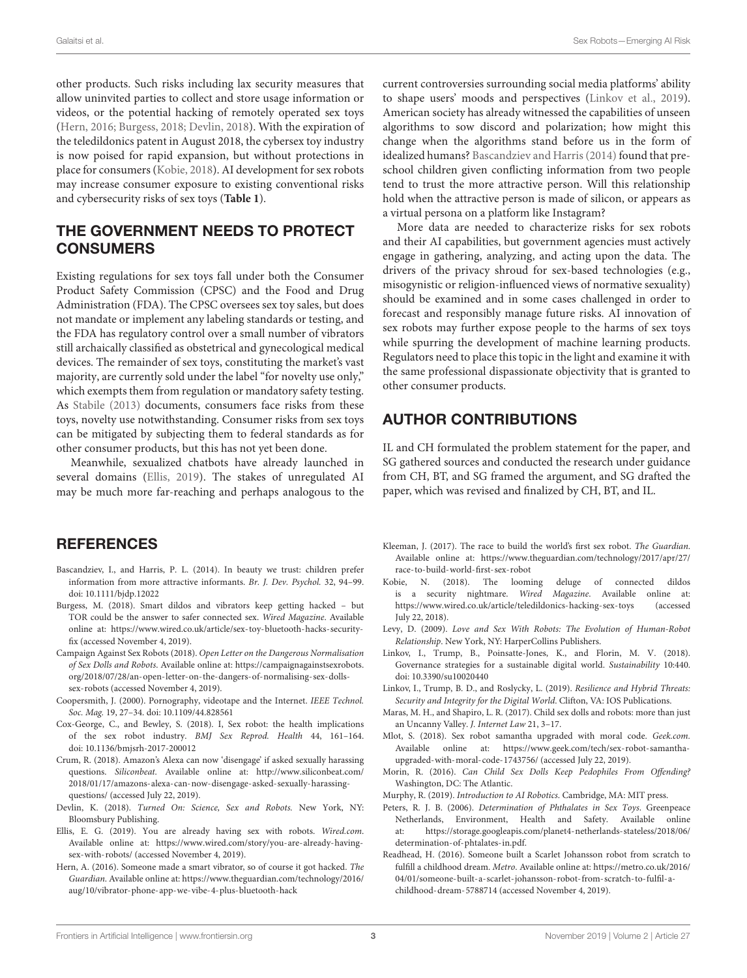other products. Such risks including lax security measures that allow uninvited parties to collect and store usage information or videos, or the potential hacking of remotely operated sex toys [\(Hern, 2016;](#page-2-13) [Burgess, 2018;](#page-2-14) [Devlin, 2018\)](#page-2-15). With the expiration of the teledildonics patent in August 2018, the cybersex toy industry is now poised for rapid expansion, but without protections in place for consumers [\(Kobie, 2018\)](#page-2-16). AI development for sex robots may increase consumer exposure to existing conventional risks and cybersecurity risks of sex toys (**[Table 1](#page-1-0)**).

# THE GOVERNMENT NEEDS TO PROTECT **CONSUMERS**

Existing regulations for sex toys fall under both the Consumer Product Safety Commission (CPSC) and the Food and Drug Administration (FDA). The CPSC oversees sex toy sales, but does not mandate or implement any labeling standards or testing, and the FDA has regulatory control over a small number of vibrators still archaically classified as obstetrical and gynecological medical devices. The remainder of sex toys, constituting the market's vast majority, are currently sold under the label "for novelty use only," which exempts them from regulation or mandatory safety testing. As [Stabile \(2013\)](#page-3-8) documents, consumers face risks from these toys, novelty use notwithstanding. Consumer risks from sex toys can be mitigated by subjecting them to federal standards as for other consumer products, but this has not yet been done.

Meanwhile, sexualized chatbots have already launched in several domains [\(Ellis, 2019\)](#page-2-17). The stakes of unregulated AI may be much more far-reaching and perhaps analogous to the

## **REFERENCES**

- <span id="page-2-19"></span>Bascandziev, I., and Harris, P. L. (2014). In beauty we trust: children prefer information from more attractive informants. Br. J. Dev. Psychol. 32, 94–99. doi: [10.1111/bjdp.12022](https://doi.org/10.1111/bjdp.12022)
- <span id="page-2-14"></span>Burgess, M. (2018). Smart dildos and vibrators keep getting hacked – but TOR could be the answer to safer connected sex. Wired Magazine. Available online at: [https://www.wired.co.uk/article/sex-toy-bluetooth-hacks-security](https://www.wired.co.uk/article/sex-toy-bluetooth-hacks-security-fix)[fix](https://www.wired.co.uk/article/sex-toy-bluetooth-hacks-security-fix) (accessed November 4, 2019).
- <span id="page-2-8"></span>Campaign Against Sex Robots (2018). Open Letter on the Dangerous Normalisation of Sex Dolls and Robots. Available online at: [https://campaignagainstsexrobots.](https://campaignagainstsexrobots.org/2018/07/28/an-open-letter-on-the-dangers-of-normalising-sex-dolls-sex-robots) [org/2018/07/28/an-open-letter-on-the-dangers-of-normalising-sex-dolls](https://campaignagainstsexrobots.org/2018/07/28/an-open-letter-on-the-dangers-of-normalising-sex-dolls-sex-robots)[sex-robots](https://campaignagainstsexrobots.org/2018/07/28/an-open-letter-on-the-dangers-of-normalising-sex-dolls-sex-robots) (accessed November 4, 2019).
- <span id="page-2-10"></span>Coopersmith, J. (2000). Pornography, videotape and the Internet. IEEE Technol. Soc. Mag. 19, 27–34. doi: [10.1109/44.828561](https://doi.org/10.1109/44.828561)
- <span id="page-2-4"></span>Cox-George, C., and Bewley, S. (2018). I, Sex robot: the health implications of the sex robot industry. BMJ Sex Reprod. Health 44, 161–164. doi: [10.1136/bmjsrh-2017-200012](https://doi.org/10.1136/bmjsrh-2017-200012)
- <span id="page-2-2"></span>Crum, R. (2018). Amazon's Alexa can now 'disengage' if asked sexually harassing questions. Siliconbeat. Available online at: [http://www.siliconbeat.com/](http://www.siliconbeat.com/2018/01/17/amazons-alexa-can-now-disengage-asked-sexually-harassing-questions/) [2018/01/17/amazons-alexa-can-now-disengage-asked-sexually-harassing](http://www.siliconbeat.com/2018/01/17/amazons-alexa-can-now-disengage-asked-sexually-harassing-questions/)[questions/](http://www.siliconbeat.com/2018/01/17/amazons-alexa-can-now-disengage-asked-sexually-harassing-questions/) (accessed July 22, 2019).
- <span id="page-2-15"></span>Devlin, K. (2018). Turned On: Science, Sex and Robots. New York, NY: Bloomsbury Publishing.
- <span id="page-2-17"></span>Ellis, E. G. (2019). You are already having sex with robots. Wired.com. Available online at: [https://www.wired.com/story/you-are-already-having](https://www.wired.com/story/you-are-already-having-sex-with-robots/)[sex-with-robots/](https://www.wired.com/story/you-are-already-having-sex-with-robots/) (accessed November 4, 2019).
- <span id="page-2-13"></span>Hern, A. (2016). Someone made a smart vibrator, so of course it got hacked. The Guardian. Available online at: [https://www.theguardian.com/technology/2016/](https://www.theguardian.com/technology/2016/aug/10/vibrator-phone-app-we-vibe-4-plus-bluetooth-hack) [aug/10/vibrator-phone-app-we-vibe-4-plus-bluetooth-hack](https://www.theguardian.com/technology/2016/aug/10/vibrator-phone-app-we-vibe-4-plus-bluetooth-hack)

current controversies surrounding social media platforms' ability to shape users' moods and perspectives [\(Linkov et al., 2019\)](#page-2-18). American society has already witnessed the capabilities of unseen algorithms to sow discord and polarization; how might this change when the algorithms stand before us in the form of idealized humans? [Bascandziev and Harris \(2014\)](#page-2-19) found that preschool children given conflicting information from two people tend to trust the more attractive person. Will this relationship hold when the attractive person is made of silicon, or appears as a virtual persona on a platform like Instagram?

More data are needed to characterize risks for sex robots and their AI capabilities, but government agencies must actively engage in gathering, analyzing, and acting upon the data. The drivers of the privacy shroud for sex-based technologies (e.g., misogynistic or religion-influenced views of normative sexuality) should be examined and in some cases challenged in order to forecast and responsibly manage future risks. AI innovation of sex robots may further expose people to the harms of sex toys while spurring the development of machine learning products. Regulators need to place this topic in the light and examine it with the same professional dispassionate objectivity that is granted to other consumer products.

## AUTHOR CONTRIBUTIONS

IL and CH formulated the problem statement for the paper, and SG gathered sources and conducted the research under guidance from CH, BT, and SG framed the argument, and SG drafted the paper, which was revised and finalized by CH, BT, and IL.

- <span id="page-2-11"></span>Kleeman, J. (2017). The race to build the world's first sex robot. The Guardian. Available online at: [https://www.theguardian.com/technology/2017/apr/27/](https://www.theguardian.com/technology/2017/apr/27/race-to-build-world-first-sex-robot) [race-to-build-world-first-sex-robot](https://www.theguardian.com/technology/2017/apr/27/race-to-build-world-first-sex-robot)
- <span id="page-2-16"></span>Kobie, N. (2018). The looming deluge of connected dildos is a security nightmare. Wired Magazine. Available online at: <https://www.wired.co.uk/article/teledildonics-hacking-sex-toys> (accessed July 22, 2018).
- <span id="page-2-9"></span>Levy, D. (2009). Love and Sex With Robots: The Evolution of Human-Robot Relationship. New York, NY: HarperCollins Publishers.
- <span id="page-2-0"></span>Linkov, I., Trump, B., Poinsatte-Jones, K., and Florin, M. V. (2018). Governance strategies for a sustainable digital world. Sustainability 10:440. doi: [10.3390/su10020440](https://doi.org/10.3390/su10020440)
- <span id="page-2-18"></span>Linkov, I., Trump, B. D., and Roslycky, L. (2019). Resilience and Hybrid Threats: Security and Integrity for the Digital World. Clifton, VA: IOS Publications.
- <span id="page-2-7"></span>Maras, M. H., and Shapiro, L. R. (2017). Child sex dolls and robots: more than just an Uncanny Valley. J. Internet Law 21, 3–17.
- <span id="page-2-3"></span>Mlot, S. (2018). Sex robot samantha upgraded with moral code. Geek.com. Available online at: [https://www.geek.com/tech/sex-robot-samantha](https://www.geek.com/tech/sex-robot-samantha-upgraded-with-moral-code-1743756/)[upgraded-with-moral-code-1743756/](https://www.geek.com/tech/sex-robot-samantha-upgraded-with-moral-code-1743756/) (accessed July 22, 2019).
- <span id="page-2-5"></span>Morin, R. (2016). Can Child Sex Dolls Keep Pedophiles From Offending? Washington, DC: The Atlantic.
- <span id="page-2-1"></span>Murphy, R. (2019). Introduction to AI Robotics. Cambridge, MA: MIT press.
- <span id="page-2-12"></span>Peters, R. J. B. (2006). Determination of Phthalates in Sex Toys. Greenpeace Netherlands, Environment, Health and Safety. Available online at: [https://storage.googleapis.com/planet4-netherlands-stateless/2018/06/](https://storage.googleapis.com/planet4-netherlands-stateless/2018/06/determination-of-phtalates-in.pdf) [determination-of-phtalates-in.pdf.](https://storage.googleapis.com/planet4-netherlands-stateless/2018/06/determination-of-phtalates-in.pdf)
- <span id="page-2-6"></span>Readhead, H. (2016). Someone built a Scarlet Johansson robot from scratch to fulfill a childhood dream. Metro. Available online at: [https://metro.co.uk/2016/](https://metro.co.uk/2016/04/01/someone-built-a-scarlet-johansson-robot-from-scratch-to-fulfil-a-childhood-dream-5788714) [04/01/someone-built-a-scarlet-johansson-robot-from-scratch-to-fulfil-a](https://metro.co.uk/2016/04/01/someone-built-a-scarlet-johansson-robot-from-scratch-to-fulfil-a-childhood-dream-5788714)[childhood-dream-5788714](https://metro.co.uk/2016/04/01/someone-built-a-scarlet-johansson-robot-from-scratch-to-fulfil-a-childhood-dream-5788714) (accessed November 4, 2019).